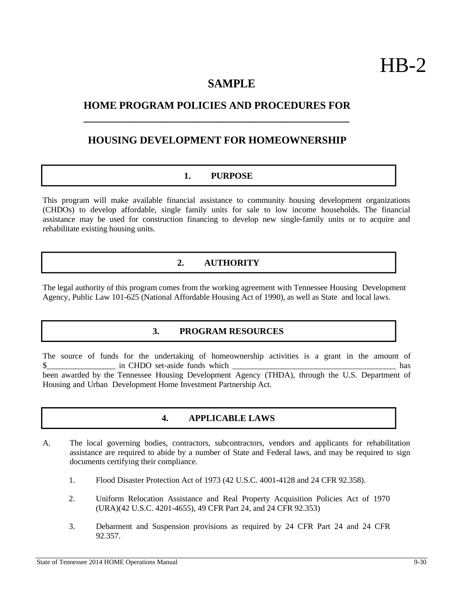# **SAMPLE**

## **HOME PROGRAM POLICIES AND PROCEDURES FOR \_\_\_\_\_\_\_\_\_\_\_\_\_\_\_\_\_\_\_\_\_\_\_\_\_\_\_\_\_\_\_\_\_\_\_\_\_\_\_\_\_\_\_\_\_\_\_\_\_\_\_**

## **HOUSING DEVELOPMENT FOR HOMEOWNERSHIP**

#### **1. PURPOSE**

This program will make available financial assistance to community housing development organizations (CHDOs) to develop affordable, single family units for sale to low income households. The financial assistance may be used for construction financing to develop new single-family units or to acquire and rehabilitate existing housing units.

#### **2. AUTHORITY**

The legal authority of this program comes from the working agreement with Tennessee Housing Development Agency, Public Law 101-625 (National Affordable Housing Act of 1990), as well as State and local laws.

#### **3. PROGRAM RESOURCES**

The source of funds for the undertaking of homeownership activities is a grant in the amount of \$ for the set-aside funds which the set-set of the set of the set of the set of the set of the set of the set of the set of the set of the set of the set of the set of the set of the set of the set of the set of the set of

been awarded by the Tennessee Housing Development Agency (THDA), through the U.S. Department of Housing and Urban Development Home Investment Partnership Act.

### **4. APPLICABLE LAWS**

- A. The local governing bodies, contractors, subcontractors, vendors and applicants for rehabilitation assistance are required to abide by a number of State and Federal laws, and may be required to sign documents certifying their compliance.
	- 1. Flood Disaster Protection Act of 1973 (42 U.S.C. 4001-4128 and 24 CFR 92.358).
	- 2. Uniform Relocation Assistance and Real Property Acquisition Policies Act of 1970 (URA)(42 U.S.C. 4201-4655), 49 CFR Part 24, and 24 CFR 92.353)
	- 3. Debarment and Suspension provisions as required by 24 CFR Part 24 and 24 CFR 92.357.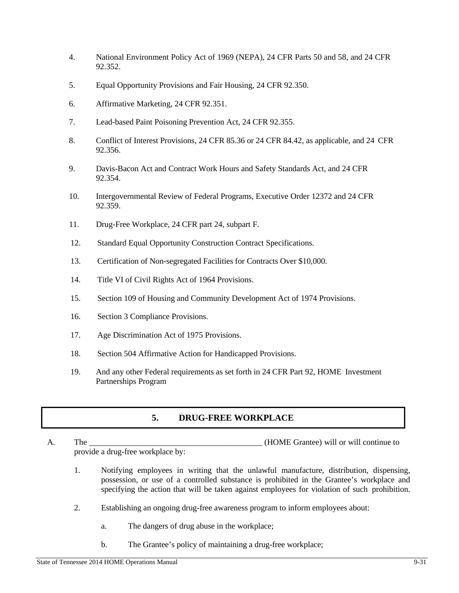- 4. National Environment Policy Act of 1969 (NEPA), 24 CFR Parts 50 and 58, and 24 CFR 92.352.
- 5. Equal Opportunity Provisions and Fair Housing, 24 CFR 92.350.
- 6. Affirmative Marketing, 24 CFR 92.351.
- 7. Lead-based Paint Poisoning Prevention Act, 24 CFR 92.355.
- 8. Conflict of Interest Provisions, 24 CFR 85.36 or 24 CFR 84.42, as applicable, and 24 CFR 92.356.
- 9. Davis-Bacon Act and Contract Work Hours and Safety Standards Act, and 24 CFR 92.354.
- 10. Intergovernmental Review of Federal Programs, Executive Order 12372 and 24 CFR 92.359.
- 11. Drug-Free Workplace, 24 CFR part 24, subpart F.
- 12. Standard Equal Opportunity Construction Contract Specifications.
- 13. Certification of Non-segregated Facilities for Contracts Over \$10,000.
- 14. Title VI of Civil Rights Act of 1964 Provisions.
- 15. Section 109 of Housing and Community Development Act of 1974 Provisions.
- 16. Section 3 Compliance Provisions.
- 17. Age Discrimination Act of 1975 Provisions.
- 18. Section 504 Affirmative Action for Handicapped Provisions.
- 19. And any other Federal requirements as set forth in 24 CFR Part 92, HOME Investment Partnerships Program

#### **5. DRUG-FREE WORKPLACE**

- A. The \_\_\_\_\_\_\_\_\_\_\_\_\_\_\_\_\_\_\_\_\_\_\_\_\_\_\_\_\_\_\_\_\_\_\_\_\_\_\_\_\_\_ (HOME Grantee) will or will continue to provide a drug-free workplace by:
	- 1. Notifying employees in writing that the unlawful manufacture, distribution, dispensing, possession, or use of a controlled substance is prohibited in the Grantee's workplace and specifying the action that will be taken against employees for violation of such prohibition.
	- 2. Establishing an ongoing drug-free awareness program to inform employees about:
		- a. The dangers of drug abuse in the workplace;
		- b. The Grantee's policy of maintaining a drug-free workplace;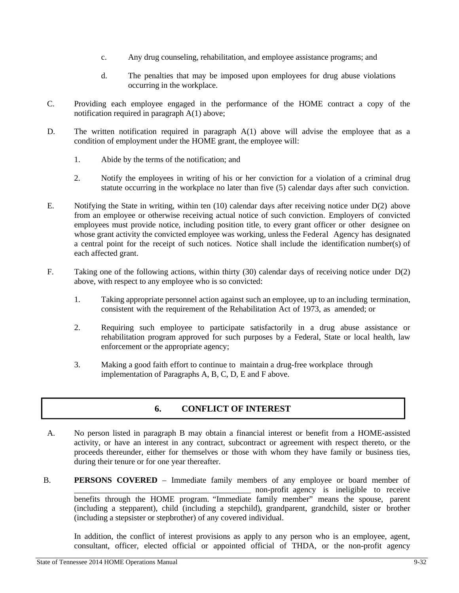- c. Any drug counseling, rehabilitation, and employee assistance programs; and
- d. The penalties that may be imposed upon employees for drug abuse violations occurring in the workplace.
- C. Providing each employee engaged in the performance of the HOME contract a copy of the notification required in paragraph A(1) above;
- D. The written notification required in paragraph A(1) above will advise the employee that as a condition of employment under the HOME grant, the employee will:
	- 1. Abide by the terms of the notification; and
	- 2. Notify the employees in writing of his or her conviction for a violation of a criminal drug statute occurring in the workplace no later than five (5) calendar days after such conviction.
- E. Notifying the State in writing, within ten (10) calendar days after receiving notice under D(2) above from an employee or otherwise receiving actual notice of such conviction. Employers of convicted employees must provide notice, including position title, to every grant officer or other designee on whose grant activity the convicted employee was working, unless the Federal Agency has designated a central point for the receipt of such notices. Notice shall include the identification number(s) of each affected grant.
- F. Taking one of the following actions, within thirty (30) calendar days of receiving notice under D(2) above, with respect to any employee who is so convicted:
	- 1. Taking appropriate personnel action against such an employee, up to an including termination, consistent with the requirement of the Rehabilitation Act of 1973, as amended; or
	- 2. Requiring such employee to participate satisfactorily in a drug abuse assistance or rehabilitation program approved for such purposes by a Federal, State or local health, law enforcement or the appropriate agency;
	- 3. Making a good faith effort to continue to maintain a drug-free workplace through implementation of Paragraphs A, B, C, D, E and F above.

### **6. CONFLICT OF INTEREST**

- A. No person listed in paragraph B may obtain a financial interest or benefit from a HOME-assisted activity, or have an interest in any contract, subcontract or agreement with respect thereto, or the proceeds thereunder, either for themselves or those with whom they have family or business ties, during their tenure or for one year thereafter.
- B. **PERSONS COVERED**  Immediate family members of any employee or board member of \_\_\_\_\_\_\_\_\_\_\_\_\_\_\_\_\_\_\_\_\_\_\_\_\_\_\_\_\_\_\_\_\_\_\_\_\_\_\_\_\_\_\_ non-profit agency is ineligible to receive benefits through the HOME program. "Immediate family member" means the spouse, parent (including a stepparent), child (including a stepchild), grandparent, grandchild, sister or brother (including a stepsister or stepbrother) of any covered individual.

In addition, the conflict of interest provisions as apply to any person who is an employee, agent, consultant, officer, elected official or appointed official of THDA, or the non-profit agency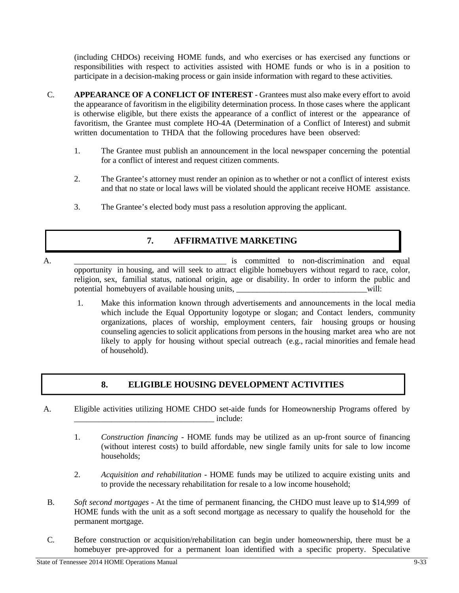(including CHDOs) receiving HOME funds, and who exercises or has exercised any functions or responsibilities with respect to activities assisted with HOME funds or who is in a position to participate in a decision-making process or gain inside information with regard to these activities.

- C. **APPEARANCE OF A CONFLICT OF INTEREST**  Grantees must also make every effort to avoid the appearance of favoritism in the eligibility determination process. In those cases where the applicant is otherwise eligible, but there exists the appearance of a conflict of interest or the appearance of favoritism, the Grantee must complete HO-4A (Determination of a Conflict of Interest) and submit written documentation to THDA that the following procedures have been observed:
	- 1. The Grantee must publish an announcement in the local newspaper concerning the potential for a conflict of interest and request citizen comments.
	- 2. The Grantee's attorney must render an opinion as to whether or not a conflict of interest exists and that no state or local laws will be violated should the applicant receive HOME assistance.
	- 3. The Grantee's elected body must pass a resolution approving the applicant.

#### **7. AFFIRMATIVE MARKETING**

- A. the contract of the contract of the committed to non-discrimination and equal opportunity in housing, and will seek to attract eligible homebuyers without regard to race, color, religion, sex, familial status, national origin, age or disability. In order to inform the public and potential homebuyers of available housing units, \_\_\_\_\_\_\_\_\_\_\_\_\_\_\_\_\_\_\_\_\_\_\_\_\_\_\_\_\_\_\_\_will:
	- 1. Make this information known through advertisements and announcements in the local media which include the Equal Opportunity logotype or slogan; and Contact lenders, community organizations, places of worship, employment centers, fair housing groups or housing counseling agencies to solicit applications from persons in the housing market area who are not likely to apply for housing without special outreach (e.g., racial minorities and female head of household).

### **8. ELIGIBLE HOUSING DEVELOPMENT ACTIVITIES**

- A. Eligible activities utilizing HOME CHDO set-aide funds for Homeownership Programs offered by  $\blacksquare$  include:
	- 1. *Construction financing*  HOME funds may be utilized as an up-front source of financing (without interest costs) to build affordable, new single family units for sale to low income households;
	- 2. *Acquisition and rehabilitation*  HOME funds may be utilized to acquire existing units and to provide the necessary rehabilitation for resale to a low income household;
- B. *Soft second mortgages*  At the time of permanent financing, the CHDO must leave up to \$14,999 of HOME funds with the unit as a soft second mortgage as necessary to qualify the household for the permanent mortgage.
- C. Before construction or acquisition/rehabilitation can begin under homeownership, there must be a homebuyer pre-approved for a permanent loan identified with a specific property. Speculative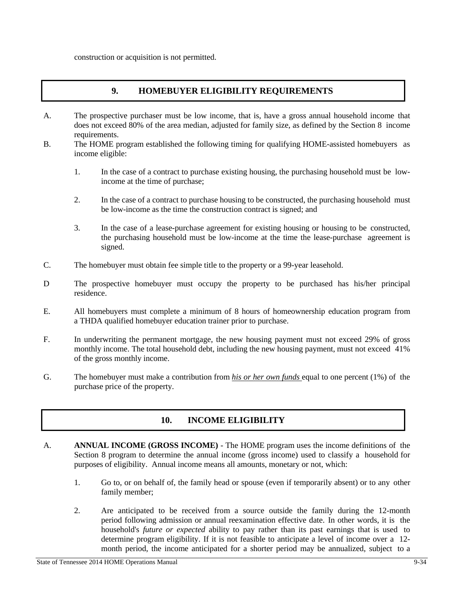construction or acquisition is not permitted.

#### **9. HOMEBUYER ELIGIBILITY REQUIREMENTS**

- A. The prospective purchaser must be low income, that is, have a gross annual household income that does not exceed 80% of the area median, adjusted for family size, as defined by the Section 8 income requirements.
- B. The HOME program established the following timing for qualifying HOME-assisted homebuyers as income eligible:
	- 1. In the case of a contract to purchase existing housing, the purchasing household must be lowincome at the time of purchase;
	- 2. In the case of a contract to purchase housing to be constructed, the purchasing household must be low-income as the time the construction contract is signed; and
	- 3. In the case of a lease-purchase agreement for existing housing or housing to be constructed, the purchasing household must be low-income at the time the lease-purchase agreement is signed.
- C. The homebuyer must obtain fee simple title to the property or a 99-year leasehold.
- D The prospective homebuyer must occupy the property to be purchased has his/her principal residence.
- E. All homebuyers must complete a minimum of 8 hours of homeownership education program from a THDA qualified homebuyer education trainer prior to purchase.
- F. In underwriting the permanent mortgage, the new housing payment must not exceed 29% of gross monthly income. The total household debt, including the new housing payment, must not exceed 41% of the gross monthly income.
- G. The homebuyer must make a contribution from *his or her own funds* equal to one percent (1%) of the purchase price of the property.

## **10. INCOME ELIGIBILITY**

- A. **ANNUAL INCOME (GROSS INCOME)**  The HOME program uses the income definitions of the Section 8 program to determine the annual income (gross income) used to classify a household for purposes of eligibility. Annual income means all amounts, monetary or not, which:
	- 1. Go to, or on behalf of, the family head or spouse (even if temporarily absent) or to any other family member;
	- 2. Are anticipated to be received from a source outside the family during the 12-month period following admission or annual reexamination effective date. In other words, it is the household's *future or expected* ability to pay rather than its past earnings that is used to determine program eligibility. If it is not feasible to anticipate a level of income over a 12 month period, the income anticipated for a shorter period may be annualized, subject to a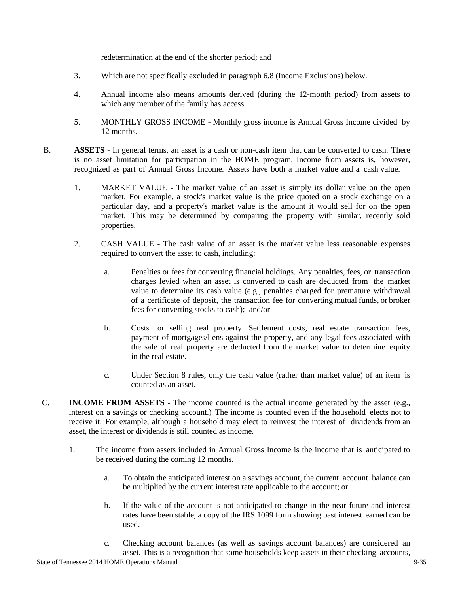redetermination at the end of the shorter period; and

- 3. Which are not specifically excluded in paragraph 6.8 (Income Exclusions) below.
- 4. Annual income also means amounts derived (during the 12-month period) from assets to which any member of the family has access.
- 5. MONTHLY GROSS INCOME Monthly gross income is Annual Gross Income divided by 12 months.
- B. **ASSETS**  In general terms, an asset is a cash or non-cash item that can be converted to cash. There is no asset limitation for participation in the HOME program. Income from assets is, however, recognized as part of Annual Gross Income. Assets have both a market value and a cash value.
	- 1. MARKET VALUE The market value of an asset is simply its dollar value on the open market. For example, a stock's market value is the price quoted on a stock exchange on a particular day, and a property's market value is the amount it would sell for on the open market. This may be determined by comparing the property with similar, recently sold properties.
	- 2. CASH VALUE The cash value of an asset is the market value less reasonable expenses required to convert the asset to cash, including:
		- a. Penalties or fees for converting financial holdings. Any penalties, fees, or transaction charges levied when an asset is converted to cash are deducted from the market value to determine its cash value (e.g., penalties charged for premature withdrawal of a certificate of deposit, the transaction fee for converting mutual funds, or broker fees for converting stocks to cash); and/or
		- b. Costs for selling real property. Settlement costs, real estate transaction fees, payment of mortgages/liens against the property, and any legal fees associated with the sale of real property are deducted from the market value to determine equity in the real estate.
		- c. Under Section 8 rules, only the cash value (rather than market value) of an item is counted as an asset.
- C. **INCOME FROM ASSETS**  The income counted is the actual income generated by the asset (e.g., interest on a savings or checking account.) The income is counted even if the household elects not to receive it. For example, although a household may elect to reinvest the interest of dividends from an asset, the interest or dividends is still counted as income.
	- 1. The income from assets included in Annual Gross Income is the income that is anticipated to be received during the coming 12 months.
		- a. To obtain the anticipated interest on a savings account, the current account balance can be multiplied by the current interest rate applicable to the account; or
		- b. If the value of the account is not anticipated to change in the near future and interest rates have been stable, a copy of the IRS 1099 form showing past interest earned can be used.
		- c. Checking account balances (as well as savings account balances) are considered an asset. This is a recognition that some households keep assets in their checking accounts,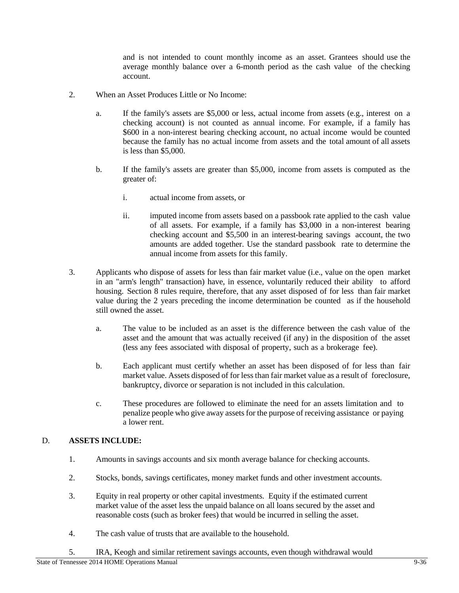and is not intended to count monthly income as an asset. Grantees should use the average monthly balance over a 6-month period as the cash value of the checking account.

- 2. When an Asset Produces Little or No Income:
	- a. If the family's assets are \$5,000 or less, actual income from assets (e.g., interest on a checking account) is not counted as annual income. For example, if a family has \$600 in a non-interest bearing checking account, no actual income would be counted because the family has no actual income from assets and the total amount of all assets is less than \$5,000.
	- b. If the family's assets are greater than \$5,000, income from assets is computed as the greater of:
		- i. actual income from assets, or
		- ii. imputed income from assets based on a passbook rate applied to the cash value of all assets. For example, if a family has \$3,000 in a non-interest bearing checking account and \$5,500 in an interest-bearing savings account, the two amounts are added together. Use the standard passbook rate to determine the annual income from assets for this family.
- 3. Applicants who dispose of assets for less than fair market value (i.e., value on the open market in an "arm's length" transaction) have, in essence, voluntarily reduced their ability to afford housing. Section 8 rules require, therefore, that any asset disposed of for less than fair market value during the 2 years preceding the income determination be counted as if the household still owned the asset.
	- a. The value to be included as an asset is the difference between the cash value of the asset and the amount that was actually received (if any) in the disposition of the asset (less any fees associated with disposal of property, such as a brokerage fee).
	- b. Each applicant must certify whether an asset has been disposed of for less than fair market value. Assets disposed of for less than fair market value as a result of foreclosure, bankruptcy, divorce or separation is not included in this calculation.
	- c. These procedures are followed to eliminate the need for an assets limitation and to penalize people who give away assets for the purpose of receiving assistance or paying a lower rent.

#### D. **ASSETS INCLUDE:**

- 1. Amounts in savings accounts and six month average balance for checking accounts.
- 2. Stocks, bonds, savings certificates, money market funds and other investment accounts.
- 3. Equity in real property or other capital investments. Equity if the estimated current market value of the asset less the unpaid balance on all loans secured by the asset and reasonable costs (such as broker fees) that would be incurred in selling the asset.
- 4. The cash value of trusts that are available to the household.
- 5. IRA, Keogh and similar retirement savings accounts, even though withdrawal would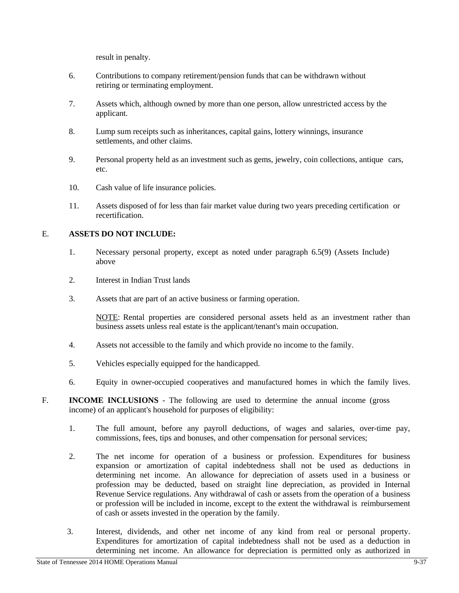result in penalty.

- 6. Contributions to company retirement/pension funds that can be withdrawn without retiring or terminating employment.
- 7. Assets which, although owned by more than one person, allow unrestricted access by the applicant.
- 8. Lump sum receipts such as inheritances, capital gains, lottery winnings, insurance settlements, and other claims.
- 9. Personal property held as an investment such as gems, jewelry, coin collections, antique cars, etc.
- 10. Cash value of life insurance policies.
- 11. Assets disposed of for less than fair market value during two years preceding certification or recertification.

#### E. **ASSETS DO NOT INCLUDE:**

- 1. Necessary personal property, except as noted under paragraph 6.5(9) (Assets Include) above
- 2. Interest in Indian Trust lands
- 3. Assets that are part of an active business or farming operation.

NOTE: Rental properties are considered personal assets held as an investment rather than business assets unless real estate is the applicant/tenant's main occupation.

- 4. Assets not accessible to the family and which provide no income to the family.
- 5. Vehicles especially equipped for the handicapped.
- 6. Equity in owner-occupied cooperatives and manufactured homes in which the family lives.
- F. **INCOME INCLUSIONS**  The following are used to determine the annual income (gross income) of an applicant's household for purposes of eligibility:
	- 1. The full amount, before any payroll deductions, of wages and salaries, over-time pay, commissions, fees, tips and bonuses, and other compensation for personal services;
	- 2. The net income for operation of a business or profession. Expenditures for business expansion or amortization of capital indebtedness shall not be used as deductions in determining net income. An allowance for depreciation of assets used in a business or profession may be deducted, based on straight line depreciation, as provided in Internal Revenue Service regulations. Any withdrawal of cash or assets from the operation of a business or profession will be included in income, except to the extent the withdrawal is reimbursement of cash or assets invested in the operation by the family.
	- 3. Interest, dividends, and other net income of any kind from real or personal property. Expenditures for amortization of capital indebtedness shall not be used as a deduction in determining net income. An allowance for depreciation is permitted only as authorized in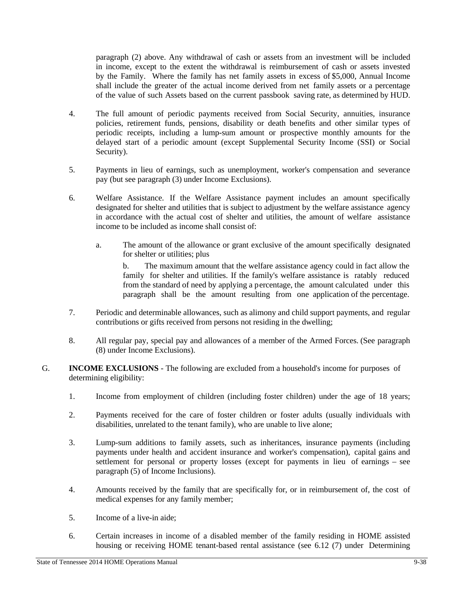paragraph (2) above. Any withdrawal of cash or assets from an investment will be included in income, except to the extent the withdrawal is reimbursement of cash or assets invested by the Family. Where the family has net family assets in excess of \$5,000, Annual Income shall include the greater of the actual income derived from net family assets or a percentage of the value of such Assets based on the current passbook saving rate, as determined by HUD.

- 4. The full amount of periodic payments received from Social Security, annuities, insurance policies, retirement funds, pensions, disability or death benefits and other similar types of periodic receipts, including a lump-sum amount or prospective monthly amounts for the delayed start of a periodic amount (except Supplemental Security Income (SSI) or Social Security).
- 5. Payments in lieu of earnings, such as unemployment, worker's compensation and severance pay (but see paragraph (3) under Income Exclusions).
- 6. Welfare Assistance. If the Welfare Assistance payment includes an amount specifically designated for shelter and utilities that is subject to adjustment by the welfare assistance agency in accordance with the actual cost of shelter and utilities, the amount of welfare assistance income to be included as income shall consist of:
	- a. The amount of the allowance or grant exclusive of the amount specifically designated for shelter or utilities; plus

b. The maximum amount that the welfare assistance agency could in fact allow the family for shelter and utilities. If the family's welfare assistance is ratably reduced from the standard of need by applying a percentage, the amount calculated under this paragraph shall be the amount resulting from one application of the percentage.

- 7. Periodic and determinable allowances, such as alimony and child support payments, and regular contributions or gifts received from persons not residing in the dwelling;
- 8. All regular pay, special pay and allowances of a member of the Armed Forces. (See paragraph (8) under Income Exclusions).
- G. **INCOME EXCLUSIONS**  The following are excluded from a household's income for purposes of determining eligibility:
	- 1. Income from employment of children (including foster children) under the age of 18 years;
	- 2. Payments received for the care of foster children or foster adults (usually individuals with disabilities, unrelated to the tenant family), who are unable to live alone;
	- 3. Lump-sum additions to family assets, such as inheritances, insurance payments (including payments under health and accident insurance and worker's compensation), capital gains and settlement for personal or property losses (except for payments in lieu of earnings – see paragraph (5) of Income Inclusions).
	- 4. Amounts received by the family that are specifically for, or in reimbursement of, the cost of medical expenses for any family member;
	- 5. Income of a live-in aide;
	- 6. Certain increases in income of a disabled member of the family residing in HOME assisted housing or receiving HOME tenant-based rental assistance (see 6.12 (7) under Determining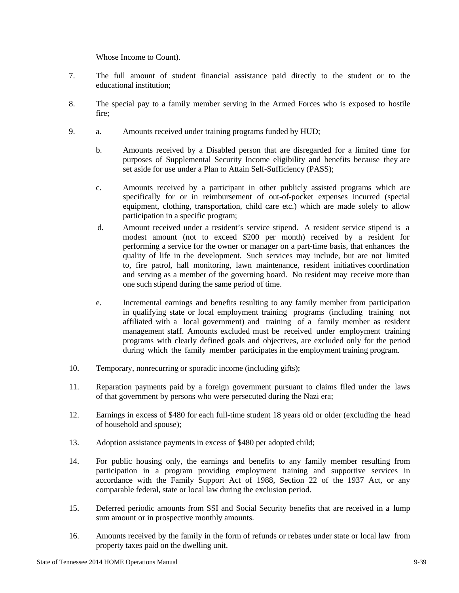Whose Income to Count).

- 7. The full amount of student financial assistance paid directly to the student or to the educational institution;
- 8. The special pay to a family member serving in the Armed Forces who is exposed to hostile fire<sup>.</sup>
- 9. a. Amounts received under training programs funded by HUD;
	- b. Amounts received by a Disabled person that are disregarded for a limited time for purposes of Supplemental Security Income eligibility and benefits because they are set aside for use under a Plan to Attain Self-Sufficiency (PASS);
	- c. Amounts received by a participant in other publicly assisted programs which are specifically for or in reimbursement of out-of-pocket expenses incurred (special equipment, clothing, transportation, child care etc.) which are made solely to allow participation in a specific program;
	- d. Amount received under a resident's service stipend. A resident service stipend is a modest amount (not to exceed \$200 per month) received by a resident for performing a service for the owner or manager on a part-time basis, that enhances the quality of life in the development. Such services may include, but are not limited to, fire patrol, hall monitoring, lawn maintenance, resident initiatives coordination and serving as a member of the governing board. No resident may receive more than one such stipend during the same period of time.
	- e. Incremental earnings and benefits resulting to any family member from participation in qualifying state or local employment training programs (including training not affiliated with a local government) and training of a family member as resident management staff. Amounts excluded must be received under employment training programs with clearly defined goals and objectives, are excluded only for the period during which the family member participates in the employment training program.
- 10. Temporary, nonrecurring or sporadic income (including gifts);
- 11. Reparation payments paid by a foreign government pursuant to claims filed under the laws of that government by persons who were persecuted during the Nazi era;
- 12. Earnings in excess of \$480 for each full-time student 18 years old or older (excluding the head of household and spouse);
- 13. Adoption assistance payments in excess of \$480 per adopted child;
- 14. For public housing only, the earnings and benefits to any family member resulting from participation in a program providing employment training and supportive services in accordance with the Family Support Act of 1988, Section 22 of the 1937 Act, or any comparable federal, state or local law during the exclusion period.
- 15. Deferred periodic amounts from SSI and Social Security benefits that are received in a lump sum amount or in prospective monthly amounts.
- 16. Amounts received by the family in the form of refunds or rebates under state or local law from property taxes paid on the dwelling unit.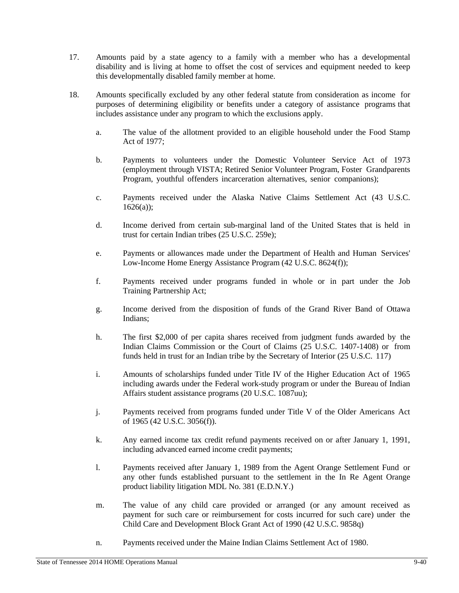- 17. Amounts paid by a state agency to a family with a member who has a developmental disability and is living at home to offset the cost of services and equipment needed to keep this developmentally disabled family member at home.
- 18. Amounts specifically excluded by any other federal statute from consideration as income for purposes of determining eligibility or benefits under a category of assistance programs that includes assistance under any program to which the exclusions apply.
	- a. The value of the allotment provided to an eligible household under the Food Stamp Act of 1977;
	- b. Payments to volunteers under the Domestic Volunteer Service Act of 1973 (employment through VISTA; Retired Senior Volunteer Program, Foster Grandparents Program, youthful offenders incarceration alternatives, senior companions);
	- c. Payments received under the Alaska Native Claims Settlement Act (43 U.S.C.  $1626(a)$ ;
	- d. Income derived from certain sub-marginal land of the United States that is held in trust for certain Indian tribes (25 U.S.C. 259e);
	- e. Payments or allowances made under the Department of Health and Human Services' Low-Income Home Energy Assistance Program (42 U.S.C. 8624(f));
	- f. Payments received under programs funded in whole or in part under the Job Training Partnership Act;
	- g. Income derived from the disposition of funds of the Grand River Band of Ottawa Indians;
	- h. The first \$2,000 of per capita shares received from judgment funds awarded by the Indian Claims Commission or the Court of Claims (25 U.S.C. 1407-1408) or from funds held in trust for an Indian tribe by the Secretary of Interior (25 U.S.C. 117)
	- i. Amounts of scholarships funded under Title IV of the Higher Education Act of 1965 including awards under the Federal work-study program or under the Bureau of Indian Affairs student assistance programs (20 U.S.C. 1087uu);
	- j. Payments received from programs funded under Title V of the Older Americans Act of 1965 (42 U.S.C. 3056(f)).
	- k. Any earned income tax credit refund payments received on or after January 1, 1991, including advanced earned income credit payments;
	- l. Payments received after January 1, 1989 from the Agent Orange Settlement Fund or any other funds established pursuant to the settlement in the In Re Agent Orange product liability litigation MDL No. 381 (E.D.N.Y.)
	- m. The value of any child care provided or arranged (or any amount received as payment for such care or reimbursement for costs incurred for such care) under the Child Care and Development Block Grant Act of 1990 (42 U.S.C. 9858q)
	- n. Payments received under the Maine Indian Claims Settlement Act of 1980.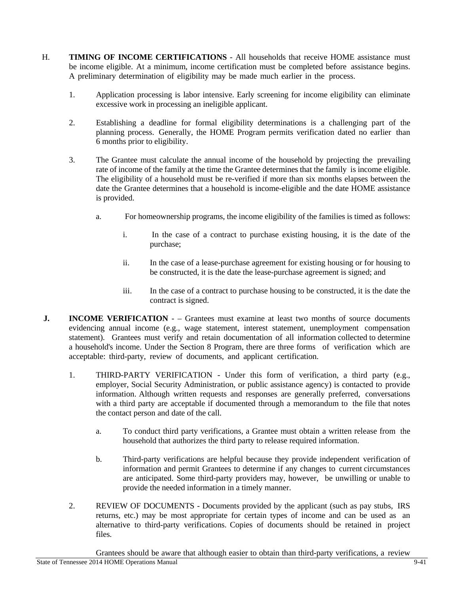- H. **TIMING OF INCOME CERTIFICATIONS**  All households that receive HOME assistance must be income eligible. At a minimum, income certification must be completed before assistance begins. A preliminary determination of eligibility may be made much earlier in the process.
	- 1. Application processing is labor intensive. Early screening for income eligibility can eliminate excessive work in processing an ineligible applicant.
	- 2. Establishing a deadline for formal eligibility determinations is a challenging part of the planning process. Generally, the HOME Program permits verification dated no earlier than 6 months prior to eligibility.
	- 3. The Grantee must calculate the annual income of the household by projecting the prevailing rate of income of the family at the time the Grantee determines that the family is income eligible. The eligibility of a household must be re-verified if more than six months elapses between the date the Grantee determines that a household is income-eligible and the date HOME assistance is provided.
		- a. For homeownership programs, the income eligibility of the families is timed as follows:
			- i. In the case of a contract to purchase existing housing, it is the date of the purchase;
			- ii. In the case of a lease-purchase agreement for existing housing or for housing to be constructed, it is the date the lease-purchase agreement is signed; and
			- iii. In the case of a contract to purchase housing to be constructed, it is the date the contract is signed.
- **J. INCOME VERIFICATION** – Grantees must examine at least two months of source documents evidencing annual income (e.g., wage statement, interest statement, unemployment compensation statement). Grantees must verify and retain documentation of all information collected to determine a household's income. Under the Section 8 Program, there are three forms of verification which are acceptable: third-party, review of documents, and applicant certification.
	- 1. THIRD-PARTY VERIFICATION Under this form of verification, a third party (e.g., employer, Social Security Administration, or public assistance agency) is contacted to provide information. Although written requests and responses are generally preferred, conversations with a third party are acceptable if documented through a memorandum to the file that notes the contact person and date of the call.
		- a. To conduct third party verifications, a Grantee must obtain a written release from the household that authorizes the third party to release required information.
		- b. Third-party verifications are helpful because they provide independent verification of information and permit Grantees to determine if any changes to current circumstances are anticipated. Some third-party providers may, however, be unwilling or unable to provide the needed information in a timely manner.
	- 2. REVIEW OF DOCUMENTS Documents provided by the applicant (such as pay stubs, IRS returns, etc.) may be most appropriate for certain types of income and can be used as an alternative to third-party verifications. Copies of documents should be retained in project files.

Grantees should be aware that although easier to obtain than third-party verifications, a review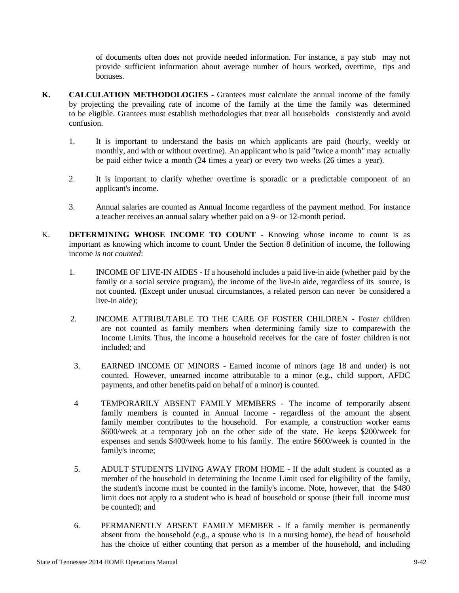of documents often does not provide needed information. For instance, a pay stub may not provide sufficient information about average number of hours worked, overtime, tips and bonuses.

- **K. CALCULATION METHODOLOGIES**  Grantees must calculate the annual income of the family by projecting the prevailing rate of income of the family at the time the family was determined to be eligible. Grantees must establish methodologies that treat all households consistently and avoid confusion.
	- 1. It is important to understand the basis on which applicants are paid (hourly, weekly or monthly, and with or without overtime). An applicant who is paid "twice a month" may actually be paid either twice a month (24 times a year) or every two weeks (26 times a year).
	- 2. It is important to clarify whether overtime is sporadic or a predictable component of an applicant's income.
	- 3. Annual salaries are counted as Annual Income regardless of the payment method. For instance a teacher receives an annual salary whether paid on a 9- or 12-month period.
- K. **DETERMINING WHOSE INCOME TO COUNT** Knowing whose income to count is as important as knowing which income to count. Under the Section 8 definition of income, the following income *is not counted*:
	- 1. INCOME OF LIVE-IN AIDES If a household includes a paid live-in aide (whether paid by the family or a social service program), the income of the live-in aide, regardless of its source, is not counted. (Except under unusual circumstances, a related person can never be considered a live-in aide);
	- 2. INCOME ATTRIBUTABLE TO THE CARE OF FOSTER CHILDREN Foster children are not counted as family members when determining family size to comparewith the Income Limits. Thus, the income a household receives for the care of foster children is not included; and
	- 3. EARNED INCOME OF MINORS Earned income of minors (age 18 and under) is not counted. However, unearned income attributable to a minor (e.g., child support, AFDC payments, and other benefits paid on behalf of a minor) is counted.
	- 4 TEMPORARILY ABSENT FAMILY MEMBERS The income of temporarily absent family members is counted in Annual Income - regardless of the amount the absent family member contributes to the household. For example, a construction worker earns \$600/week at a temporary job on the other side of the state. He keeps \$200/week for expenses and sends \$400/week home to his family. The entire \$600/week is counted in the family's income;
	- 5. ADULT STUDENTS LIVING AWAY FROM HOME If the adult student is counted as a member of the household in determining the Income Limit used for eligibility of the family, the student's income must be counted in the family's income. Note, however, that the \$480 limit does not apply to a student who is head of household or spouse (their full income must be counted); and
	- 6. PERMANENTLY ABSENT FAMILY MEMBER If a family member is permanently absent from the household (e.g., a spouse who is in a nursing home), the head of household has the choice of either counting that person as a member of the household, and including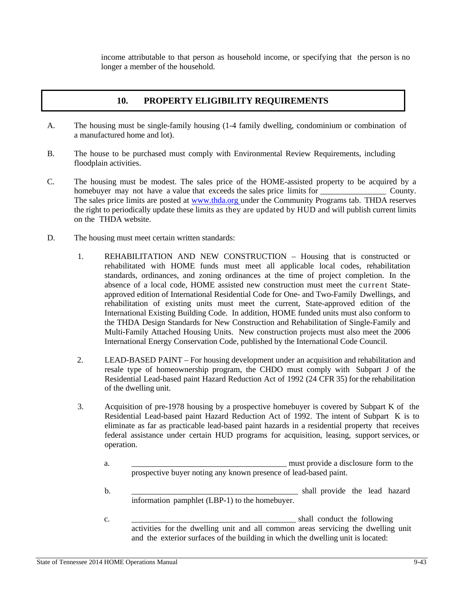income attributable to that person as household income, or specifying that the person is no longer a member of the household.

#### **10. PROPERTY ELIGIBILITY REQUIREMENTS**

- A. The housing must be single-family housing (1-4 family dwelling, condominium or combination of a manufactured home and lot).
- B. The house to be purchased must comply with Environmental Review Requirements, including floodplain activities.
- C. The housing must be modest. The sales price of the HOME-assisted property to be acquired by a homebuyer may not have a value that exceeds the sales price limits for  $\sim$  County. The sales price limits are posted at www.thda.org under the Community Programs tab. THDA reserves the right to periodically update these limits as they are updated by HUD and will publish current limits on the THDA website.
- D. The housing must meet certain written standards:
	- 1. REHABILITATION AND NEW CONSTRUCTION Housing that is constructed or rehabilitated with HOME funds must meet all applicable local codes, rehabilitation standards, ordinances, and zoning ordinances at the time of project completion. In the absence of a local code, HOME assisted new construction must meet the current Stateapproved edition of International Residential Code for One- and Two-Family Dwellings, and rehabilitation of existing units must meet the current, State-approved edition of the International Existing Building Code. In addition, HOME funded units must also conform to the THDA Design Standards for New Construction and Rehabilitation of Single-Family and Multi-Family Attached Housing Units. New construction projects must also meet the 2006 International Energy Conservation Code, published by the International Code Council.
	- 2. LEAD-BASED PAINT For housing development under an acquisition and rehabilitation and resale type of homeownership program, the CHDO must comply with Subpart J of the Residential Lead-based paint Hazard Reduction Act of 1992 (24 CFR 35) for the rehabilitation of the dwelling unit.
	- 3. Acquisition of pre-1978 housing by a prospective homebuyer is covered by Subpart K of the Residential Lead-based paint Hazard Reduction Act of 1992. The intent of Subpart K is to eliminate as far as practicable lead-based paint hazards in a residential property that receives federal assistance under certain HUD programs for acquisition, leasing, support services, or operation.
		- a.  $\blacksquare$  and  $\blacksquare$  and  $\blacksquare$  must provide a disclosure form to the prospective buyer noting any known presence of lead-based paint.
		- b.  $\Box$  shall provide the lead hazard information pamphlet (LBP-1) to the homebuyer.
		- c. \_\_\_\_\_\_\_\_\_\_\_\_\_\_\_\_\_\_\_\_\_\_\_\_\_\_\_\_\_\_\_\_\_\_\_\_\_\_\_\_ shall conduct the following activities for the dwelling unit and all common areas servicing the dwelling unit and the exterior surfaces of the building in which the dwelling unit is located: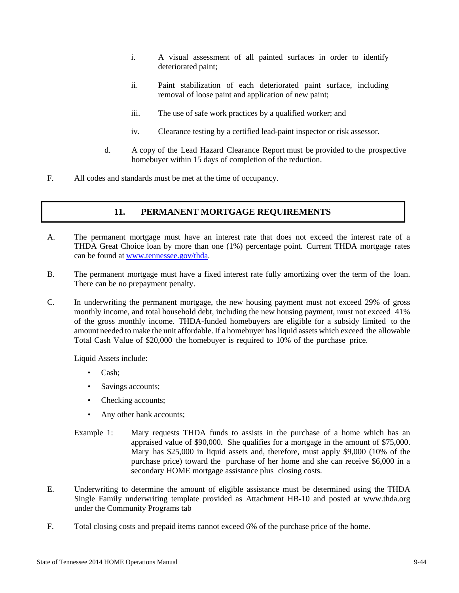- i. A visual assessment of all painted surfaces in order to identify deteriorated paint;
- ii. Paint stabilization of each deteriorated paint surface, including removal of loose paint and application of new paint;
- iii. The use of safe work practices by a qualified worker; and
- iv. Clearance testing by a certified lead-paint inspector or risk assessor.
- d. A copy of the Lead Hazard Clearance Report must be provided to the prospective homebuyer within 15 days of completion of the reduction.
- F. All codes and standards must be met at the time of occupancy.

#### **11. PERMANENT MORTGAGE REQUIREMENTS**

- A. The permanent mortgage must have an interest rate that does not exceed the interest rate of a THDA Great Choice loan by more than one (1%) percentage point. Current THDA mortgage rates can be found at www.tennessee.gov/thda.
- B. The permanent mortgage must have a fixed interest rate fully amortizing over the term of the loan. There can be no prepayment penalty.
- C. In underwriting the permanent mortgage, the new housing payment must not exceed 29% of gross monthly income, and total household debt, including the new housing payment, must not exceed 41% of the gross monthly income. THDA-funded homebuyers are eligible for a subsidy limited to the amount needed to make the unit affordable. If a homebuyer has liquid assets which exceed the allowable Total Cash Value of \$20,000 the homebuyer is required to 10% of the purchase price.

Liquid Assets include:

- Cash;
- Savings accounts;
- Checking accounts;
- Any other bank accounts;
- Example 1: Mary requests THDA funds to assists in the purchase of a home which has an appraised value of \$90,000. She qualifies for a mortgage in the amount of \$75,000. Mary has \$25,000 in liquid assets and, therefore, must apply \$9,000 (10% of the purchase price) toward the purchase of her home and she can receive \$6,000 in a secondary HOME mortgage assistance plus closing costs.
- E. Underwriting to determine the amount of eligible assistance must be determined using the THDA Single Family underwriting template provided as Attachment HB-10 and posted at www.thda.org under the Community Programs tab
- F. Total closing costs and prepaid items cannot exceed 6% of the purchase price of the home.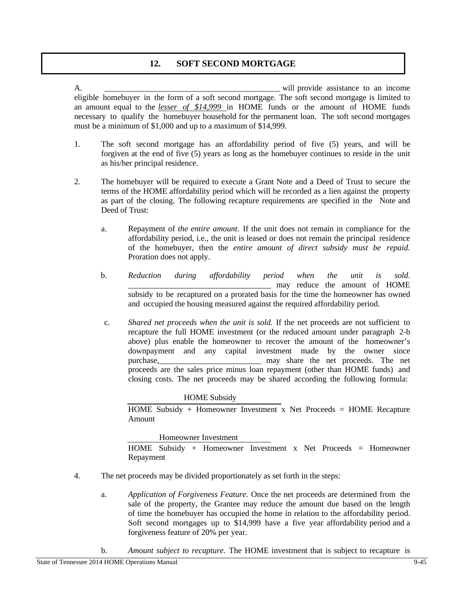#### **12. SOFT SECOND MORTGAGE**

A. The contract of the contract of the set of the set of the set of the set of the set of the set of the set of the set of the set of the set of the set of the set of the set of the set of the set of the set of the set of eligible homebuyer in the form of a soft second mortgage. The soft second mortgage is limited to an amount equal to the *lesser of \$14,999* in HOME funds or the amount of HOME funds necessary to qualify the homebuyer household for the permanent loan. The soft second mortgages must be a minimum of \$1,000 and up to a maximum of \$14,999.

- 1. The soft second mortgage has an affordability period of five (5) years, and will be forgiven at the end of five (5) years as long as the homebuyer continues to reside in the unit as his/her principal residence.
- 2. The homebuyer will be required to execute a Grant Note and a Deed of Trust to secure the terms of the HOME affordability period which will be recorded as a lien against the property as part of the closing. The following recapture requirements are specified in the Note and Deed of Trust:
	- a. Repayment of *the entire amount*. If the unit does not remain in compliance for the affordability period, i.e., the unit is leased or does not remain the principal residence of the homebuyer, then the *entire amount of direct subsidy must be repaid*. Proration does not apply.
	- b. *Reduction during affordability period when the unit is sold*. may reduce the amount of HOME subsidy to be recaptured on a prorated basis for the time the homeowner has owned and occupied the housing measured against the required affordability period.
	- c. *Shared net proceeds when the unit is sold.* If the net proceeds are not sufficient to recapture the full HOME investment (or the reduced amount under paragraph 2-b above) plus enable the homeowner to recover the amount of the homeowner's downpayment and any capital investment made by the owner since purchase, <u>may</u> share the net proceeds. The net proceeds are the sales price minus loan repayment (other than HOME funds) and closing costs. The net proceeds may be shared according the following formula:

#### HOME Subsidy

HOME Subsidy + Homeowner Investment x Net Proceeds = HOME Recapture Amount

Homeowner Investment HOME Subsidy + Homeowner Investment x Net Proceeds = Homeowner Repayment

- 4. The net proceeds may be divided proportionately as set forth in the steps:
	- a. *Application of Forgiveness Feature*. Once the net proceeds are determined from the sale of the property, the Grantee may reduce the amount due based on the length of time the homebuyer has occupied the home in relation to the affordability period. Soft second mortgages up to \$14,999 have a five year affordability period and a forgiveness feature of 20% per year.
	- b. *Amount subject to recapture.* The HOME investment that is subject to recapture is